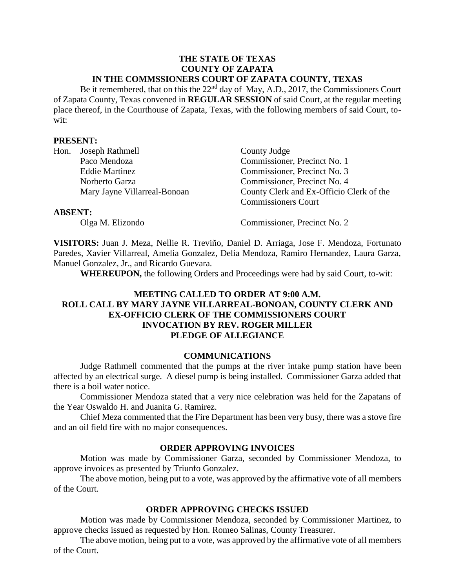#### **THE STATE OF TEXAS COUNTY OF ZAPATA IN THE COMMSSIONERS COURT OF ZAPATA COUNTY, TEXAS**

Be it remembered, that on this the 22<sup>nd</sup> day of May, A.D., 2017, the Commissioners Court of Zapata County, Texas convened in **REGULAR SESSION** of said Court, at the regular meeting place thereof, in the Courthouse of Zapata, Texas, with the following members of said Court, towit:

#### **PRESENT:**

|                | Hon. Joseph Rathmell         | County Judge                             |
|----------------|------------------------------|------------------------------------------|
|                | Paco Mendoza                 | Commissioner, Precinct No. 1             |
|                | <b>Eddie Martinez</b>        | Commissioner, Precinct No. 3             |
|                | Norberto Garza               | Commissioner, Precinct No. 4             |
|                | Mary Jayne Villarreal-Bonoan | County Clerk and Ex-Officio Clerk of the |
|                |                              | <b>Commissioners Court</b>               |
| <b>ABSENT:</b> |                              |                                          |

Olga M. Elizondo Commissioner, Precinct No. 2

**VISITORS:** Juan J. Meza, Nellie R. Treviño, Daniel D. Arriaga, Jose F. Mendoza, Fortunato Paredes, Xavier Villarreal, Amelia Gonzalez, Delia Mendoza, Ramiro Hernandez, Laura Garza, Manuel Gonzalez, Jr., and Ricardo Guevara.

**WHEREUPON,** the following Orders and Proceedings were had by said Court, to-wit:

# **MEETING CALLED TO ORDER AT 9:00 A.M. ROLL CALL BY MARY JAYNE VILLARREAL-BONOAN, COUNTY CLERK AND EX-OFFICIO CLERK OF THE COMMISSIONERS COURT INVOCATION BY REV. ROGER MILLER PLEDGE OF ALLEGIANCE**

#### **COMMUNICATIONS**

Judge Rathmell commented that the pumps at the river intake pump station have been affected by an electrical surge. A diesel pump is being installed. Commissioner Garza added that there is a boil water notice.

Commissioner Mendoza stated that a very nice celebration was held for the Zapatans of the Year Oswaldo H. and Juanita G. Ramirez.

Chief Meza commented that the Fire Department has been very busy, there was a stove fire and an oil field fire with no major consequences.

### **ORDER APPROVING INVOICES**

Motion was made by Commissioner Garza, seconded by Commissioner Mendoza, to approve invoices as presented by Triunfo Gonzalez.

The above motion, being put to a vote, was approved by the affirmative vote of all members of the Court.

### **ORDER APPROVING CHECKS ISSUED**

Motion was made by Commissioner Mendoza, seconded by Commissioner Martinez, to approve checks issued as requested by Hon. Romeo Salinas, County Treasurer.

The above motion, being put to a vote, was approved by the affirmative vote of all members of the Court.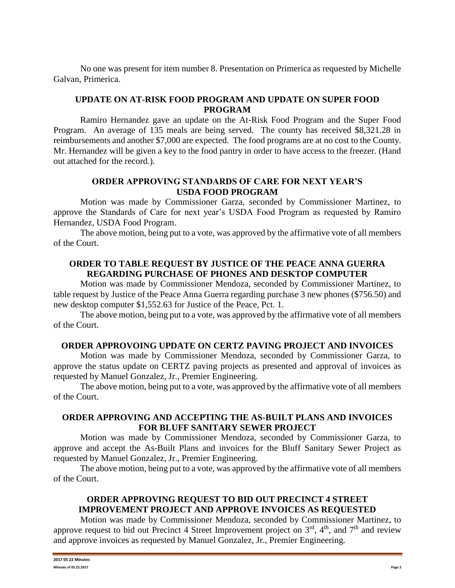No one was present for item number 8. Presentation on Primerica as requested by Michelle Galvan, Primerica.

# **UPDATE ON AT-RISK FOOD PROGRAM AND UPDATE ON SUPER FOOD PROGRAM**

Ramiro Hernandez gave an update on the At-Risk Food Program and the Super Food Program. An average of 135 meals are being served. The county has received \$8,321.28 in reimbursements and another \$7,000 are expected. The food programs are at no cost to the County. Mr. Hernandez will be given a key to the food pantry in order to have access to the freezer. (Hand out attached for the record.).

# **ORDER APPROVING STANDARDS OF CARE FOR NEXT YEAR'S USDA FOOD PROGRAM**

Motion was made by Commissioner Garza, seconded by Commissioner Martinez, to approve the Standards of Care for next year's USDA Food Program as requested by Ramiro Hernandez, USDA Food Program.

The above motion, being put to a vote, was approved by the affirmative vote of all members of the Court.

## **ORDER TO TABLE REQUEST BY JUSTICE OF THE PEACE ANNA GUERRA REGARDING PURCHASE OF PHONES AND DESKTOP COMPUTER**

Motion was made by Commissioner Mendoza, seconded by Commissioner Martinez, to table request by Justice of the Peace Anna Guerra regarding purchase 3 new phones (\$756.50) and new desktop computer \$1,552.63 for Justice of the Peace, Pct. 1.

The above motion, being put to a vote, was approved by the affirmative vote of all members of the Court.

### **ORDER APPROVOING UPDATE ON CERTZ PAVING PROJECT AND INVOICES**

Motion was made by Commissioner Mendoza, seconded by Commissioner Garza, to approve the status update on CERTZ paving projects as presented and approval of invoices as requested by Manuel Gonzalez, Jr., Premier Engineering.

The above motion, being put to a vote, was approved by the affirmative vote of all members of the Court.

### **ORDER APPROVING AND ACCEPTING THE AS-BUILT PLANS AND INVOICES FOR BLUFF SANITARY SEWER PROJECT**

Motion was made by Commissioner Mendoza, seconded by Commissioner Garza, to approve and accept the As-Built Plans and invoices for the Bluff Sanitary Sewer Project as requested by Manuel Gonzalez, Jr., Premier Engineering.

The above motion, being put to a vote, was approved by the affirmative vote of all members of the Court.

## **ORDER APPROVING REQUEST TO BID OUT PRECINCT 4 STREET IMPROVEMENT PROJECT AND APPROVE INVOICES AS REQUESTED**

Motion was made by Commissioner Mendoza, seconded by Commissioner Martinez, to approve request to bid out Precinct 4 Street Improvement project on  $3<sup>rd</sup>$ ,  $4<sup>th</sup>$ , and  $7<sup>th</sup>$  and review and approve invoices as requested by Manuel Gonzalez, Jr., Premier Engineering.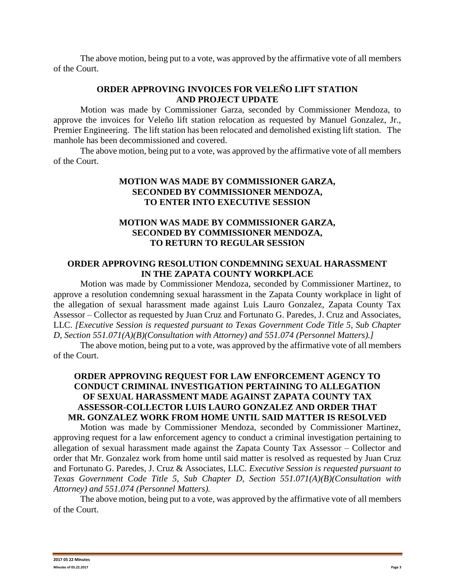The above motion, being put to a vote, was approved by the affirmative vote of all members of the Court.

## **ORDER APPROVING INVOICES FOR VELEÑO LIFT STATION AND PROJECT UPDATE**

Motion was made by Commissioner Garza, seconded by Commissioner Mendoza, to approve the invoices for Veleño lift station relocation as requested by Manuel Gonzalez, Jr., Premier Engineering. The lift station has been relocated and demolished existing lift station. The manhole has been decommissioned and covered.

The above motion, being put to a vote, was approved by the affirmative vote of all members of the Court.

## **MOTION WAS MADE BY COMMISSIONER GARZA, SECONDED BY COMMISSIONER MENDOZA, TO ENTER INTO EXECUTIVE SESSION**

# **MOTION WAS MADE BY COMMISSIONER GARZA, SECONDED BY COMMISSIONER MENDOZA, TO RETURN TO REGULAR SESSION**

### **ORDER APPROVING RESOLUTION CONDEMNING SEXUAL HARASSMENT IN THE ZAPATA COUNTY WORKPLACE**

Motion was made by Commissioner Mendoza, seconded by Commissioner Martinez, to approve a resolution condemning sexual harassment in the Zapata County workplace in light of the allegation of sexual harassment made against Luis Lauro Gonzalez, Zapata County Tax Assessor – Collector as requested by Juan Cruz and Fortunato G. Paredes, J. Cruz and Associates, LLC. *[Executive Session is requested pursuant to Texas Government Code Title 5, Sub Chapter D, Section 551.071(A)(B)(Consultation with Attorney) and 551.074 (Personnel Matters).]*

The above motion, being put to a vote, was approved by the affirmative vote of all members of the Court.

# **ORDER APPROVING REQUEST FOR LAW ENFORCEMENT AGENCY TO CONDUCT CRIMINAL INVESTIGATION PERTAINING TO ALLEGATION OF SEXUAL HARASSMENT MADE AGAINST ZAPATA COUNTY TAX ASSESSOR-COLLECTOR LUIS LAURO GONZALEZ AND ORDER THAT MR. GONZALEZ WORK FROM HOME UNTIL SAID MATTER IS RESOLVED**

Motion was made by Commissioner Mendoza, seconded by Commissioner Martinez, approving request for a law enforcement agency to conduct a criminal investigation pertaining to allegation of sexual harassment made against the Zapata County Tax Assessor – Collector and order that Mr. Gonzalez work from home until said matter is resolved as requested by Juan Cruz and Fortunato G. Paredes, J. Cruz & Associates, LLC. *Executive Session is requested pursuant to Texas Government Code Title 5, Sub Chapter D, Section 551.071(A)(B)(Consultation with Attorney) and 551.074 (Personnel Matters).*

The above motion, being put to a vote, was approved by the affirmative vote of all members of the Court.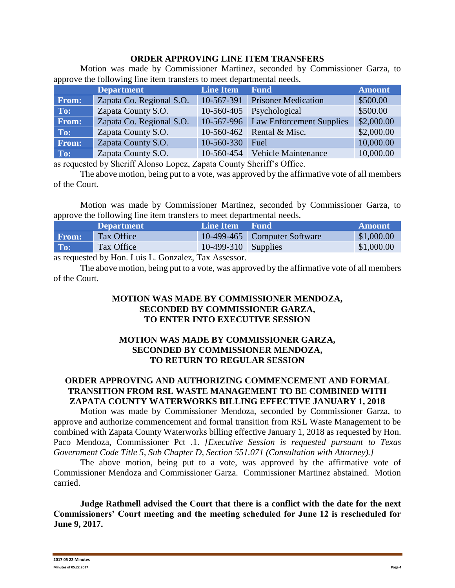### **ORDER APPROVING LINE ITEM TRANSFERS**

Motion was made by Commissioner Martinez, seconded by Commissioner Garza, to approve the following line item transfers to meet departmental needs.

|              | <b>Department</b>        | <b>Line Item</b> | <b>Fund</b>                     | <b>Amount</b> |
|--------------|--------------------------|------------------|---------------------------------|---------------|
| <b>From:</b> | Zapata Co. Regional S.O. | 10-567-391       | <b>Prisoner Medication</b>      | \$500.00      |
| To:          | Zapata County S.O.       | 10-560-405       | Psychological                   | \$500.00      |
| <b>From:</b> | Zapata Co. Regional S.O. | 10-567-996       | <b>Law Enforcement Supplies</b> | \$2,000.00    |
| To:          | Zapata County S.O.       | 10-560-462       | Rental & Misc.                  | \$2,000.00    |
| From:        | Zapata County S.O.       | 10-560-330       | Fuel                            | 10,000.00     |
| To:          | Zapata County S.O.       | 10-560-454       | <b>Vehicle Maintenance</b>      | 10,000.00     |

as requested by Sheriff Alonso Lopez, Zapata County Sheriff's Office.

The above motion, being put to a vote, was approved by the affirmative vote of all members of the Court.

Motion was made by Commissioner Martinez, seconded by Commissioner Garza, to approve the following line item transfers to meet departmental needs.

|       | <b>Department</b> | Line Item Fund        |                                | Amount     |
|-------|-------------------|-----------------------|--------------------------------|------------|
| From: | Tax Office        |                       | 10-499-465   Computer Software | \$1,000.00 |
| To:   | Tax Office        | $10-499-310$ Supplies |                                | \$1,000.00 |

as requested by Hon. Luis L. Gonzalez, Tax Assessor.

The above motion, being put to a vote, was approved by the affirmative vote of all members of the Court.

## **MOTION WAS MADE BY COMMISSIONER MENDOZA, SECONDED BY COMMISSIONER GARZA, TO ENTER INTO EXECUTIVE SESSION**

## **MOTION WAS MADE BY COMMISSIONER GARZA, SECONDED BY COMMISSIONER MENDOZA, TO RETURN TO REGULAR SESSION**

# **ORDER APPROVING AND AUTHORIZING COMMENCEMENT AND FORMAL TRANSITION FROM RSL WASTE MANAGEMENT TO BE COMBINED WITH ZAPATA COUNTY WATERWORKS BILLING EFFECTIVE JANUARY 1, 2018**

Motion was made by Commissioner Mendoza, seconded by Commissioner Garza, to approve and authorize commencement and formal transition from RSL Waste Management to be combined with Zapata County Waterworks billing effective January 1, 2018 as requested by Hon. Paco Mendoza, Commissioner Pct .1. *[Executive Session is requested pursuant to Texas Government Code Title 5, Sub Chapter D, Section 551.071 (Consultation with Attorney).]*

The above motion, being put to a vote, was approved by the affirmative vote of Commissioner Mendoza and Commissioner Garza. Commissioner Martinez abstained. Motion carried.

**Judge Rathmell advised the Court that there is a conflict with the date for the next Commissioners' Court meeting and the meeting scheduled for June 12 is rescheduled for June 9, 2017.**